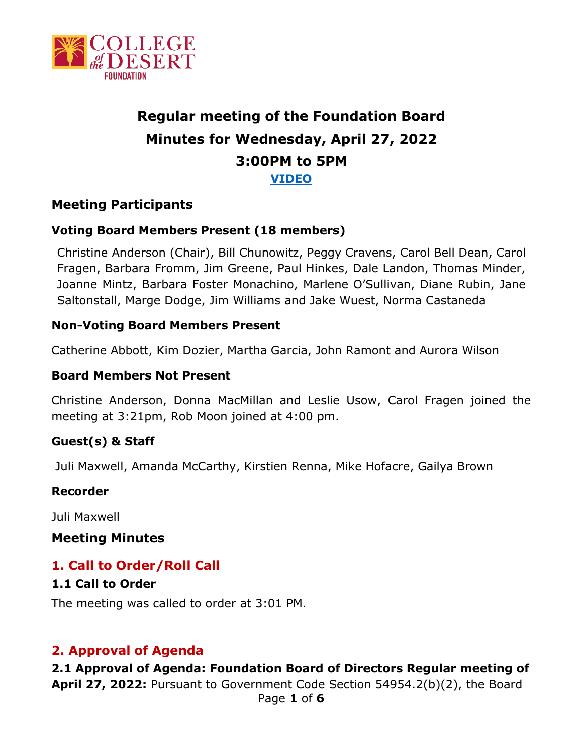

#### **Regular meeting of the Foundation Board Minutes for Wednesday, April 27, 2022 3:00PM to 5PM [VIDEO](https://cccconfer.zoom.us/rec/share/wWMOnjtrkKaK15zPf0pSv7UUHlv4YbkaFvmFRW_FopqaibkadWx4jb48Jt8O4hD2.x3GBgvwD-nQJbQmu?startTime=1651096976000)**

#### **Meeting Participants**

#### **Voting Board Members Present (18 members)**

Christine Anderson (Chair), Bill Chunowitz, Peggy Cravens, Carol Bell Dean, Carol Fragen, Barbara Fromm, Jim Greene, Paul Hinkes, Dale Landon, Thomas Minder, Joanne Mintz, Barbara Foster Monachino, Marlene O'Sullivan, Diane Rubin, Jane Saltonstall, Marge Dodge, Jim Williams and Jake Wuest, Norma Castaneda

#### **Non-Voting Board Members Present**

Catherine Abbott, Kim Dozier, Martha Garcia, John Ramont and Aurora Wilson

#### **Board Members Not Present**

Christine Anderson, Donna MacMillan and Leslie Usow, Carol Fragen joined the meeting at 3:21pm, Rob Moon joined at 4:00 pm.

#### **Guest(s) & Staff**

Juli Maxwell, Amanda McCarthy, Kirstien Renna, Mike Hofacre, Gailya Brown

#### **Recorder**

Juli Maxwell

#### **Meeting Minutes**

#### **1. Call to Order/Roll Call**

#### **1.1 Call to Order**

The meeting was called to order at 3:01 PM.

#### **2. Approval of Agenda**

**2.1 Approval of Agenda: Foundation Board of Directors Regular meeting of April 27, 2022:** Pursuant to Government Code Section 54954.2(b)(2), the Board Page **1** of **6**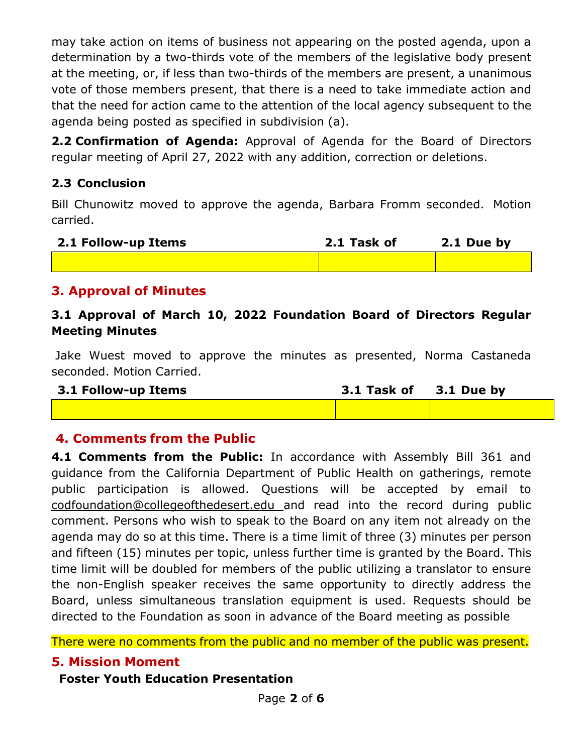may take action on items of business not appearing on the posted agenda, upon a determination by a two-thirds vote of the members of the legislative body present at the meeting, or, if less than two-thirds of the members are present, a unanimous vote of those members present, that there is a need to take immediate action and that the need for action came to the attention of the local agency subsequent to the agenda being posted as specified in subdivision (a).

**2.2 Confirmation of Agenda:** Approval of Agenda for the Board of Directors regular meeting of April 27, 2022 with any addition, correction or deletions.

#### **2.3 Conclusion**

Bill Chunowitz moved to approve the agenda, Barbara Fromm seconded. Motion carried.

| 2.1 Follow-up Items | 2.1 Task of | 2.1 Due by |
|---------------------|-------------|------------|
|                     |             |            |

#### **3. Approval of Minutes**

#### **3.1 Approval of March 10, 2022 Foundation Board of Directors Regular Meeting Minutes**

Jake Wuest moved to approve the minutes as presented, Norma Castaneda seconded. Motion Carried.

| 3.1 Follow-up Items | 3.1 Task of 3.1 Due by |  |
|---------------------|------------------------|--|
|                     |                        |  |

#### **4. Comments from the Public**

**4.1 Comments from the Public:** In accordance with Assembly Bill 361 and guidance from the California Department of Public Health on gatherings, remote public participation is allowed. Questions will be accepted by email to [codfoundation@collegeofthedesert.edu](mailto:codfoundation@collegeofthedesert.edu) and read into the record during public comment. Persons who wish to speak to the Board on any item not already on the agenda may do so at this time. There is a time limit of three (3) minutes per person and fifteen (15) minutes per topic, unless further time is granted by the Board. This time limit will be doubled for members of the public utilizing a translator to ensure the non-English speaker receives the same opportunity to directly address the Board, unless simultaneous translation equipment is used. Requests should be directed to the Foundation as soon in advance of the Board meeting as possible

There were no comments from the public and no member of the public was present.

#### **5. Mission Moment**

#### **Foster Youth Education Presentation**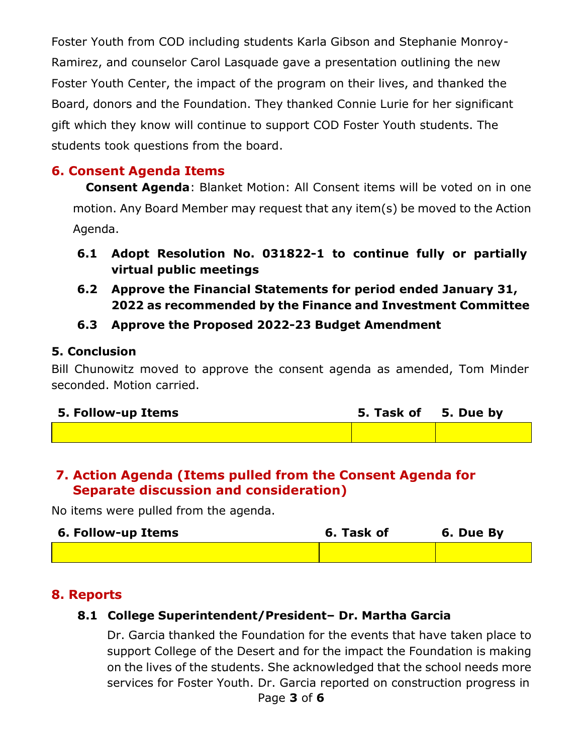Foster Youth from COD including students Karla Gibson and Stephanie Monroy-Ramirez, and counselor Carol Lasquade gave a presentation outlining the new Foster Youth Center, the impact of the program on their lives, and thanked the Board, donors and the Foundation. They thanked Connie Lurie for her significant gift which they know will continue to support COD Foster Youth students. The students took questions from the board.

#### **6. Consent Agenda Items**

**Consent Agenda**: Blanket Motion: All Consent items will be voted on in one motion. Any Board Member may request that any item(s) be moved to the Action Agenda.

- **6.1 Adopt Resolution No. 031822-1 to continue fully or partially virtual public meetings**
- **6.2 Approve the Financial Statements for period ended January 31, 2022 as recommended by the Finance and Investment Committee**

#### **6.3 Approve the Proposed 2022-23 Budget Amendment**

#### **5. Conclusion**

Bill Chunowitz moved to approve the consent agenda as amended, Tom Minder seconded. Motion carried.

| 5. Follow-up Items | 5. Task of 5. Due by |  |
|--------------------|----------------------|--|
|                    |                      |  |

#### **7. Action Agenda (Items pulled from the Consent Agenda for Separate discussion and consideration)**

No items were pulled from the agenda.

| 6. Follow-up Items | 6. Task of | 6. Due By |
|--------------------|------------|-----------|
|                    |            |           |

#### **8. Reports**

#### **8.1 College Superintendent/President– Dr. Martha Garcia**

Dr. Garcia thanked the Foundation for the events that have taken place to support College of the Desert and for the impact the Foundation is making on the lives of the students. She acknowledged that the school needs more services for Foster Youth. Dr. Garcia reported on construction progress in Page **3** of **6**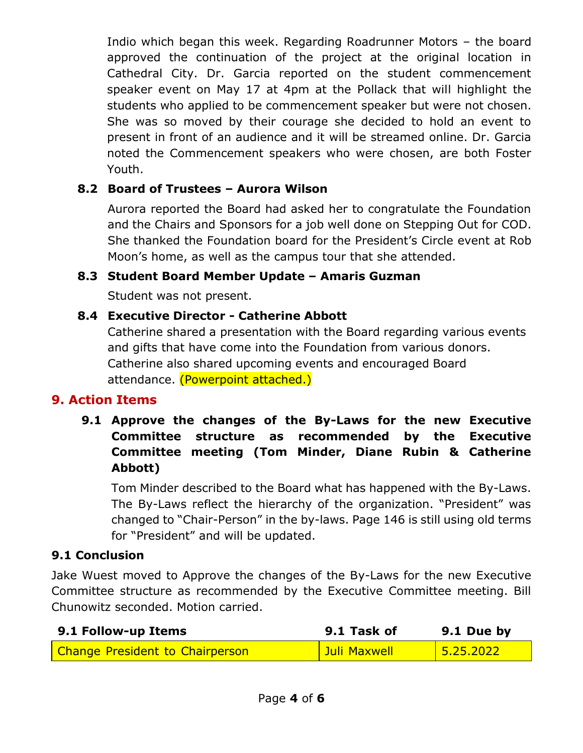Indio which began this week. Regarding Roadrunner Motors – the board approved the continuation of the project at the original location in Cathedral City. Dr. Garcia reported on the student commencement speaker event on May 17 at 4pm at the Pollack that will highlight the students who applied to be commencement speaker but were not chosen. She was so moved by their courage she decided to hold an event to present in front of an audience and it will be streamed online. Dr. Garcia noted the Commencement speakers who were chosen, are both Foster Youth.

#### **8.2 Board of Trustees – Aurora Wilson**

Aurora reported the Board had asked her to congratulate the Foundation and the Chairs and Sponsors for a job well done on Stepping Out for COD. She thanked the Foundation board for the President's Circle event at Rob Moon's home, as well as the campus tour that she attended.

#### **8.3 Student Board Member Update – Amaris Guzman**

Student was not present.

#### **8.4 Executive Director - Catherine Abbott**

Catherine shared a presentation with the Board regarding various events and gifts that have come into the Foundation from various donors. Catherine also shared upcoming events and encouraged Board attendance. (Powerpoint attached.)

#### **9. Action Items**

**9.1 Approve the changes of the By-Laws for the new Executive Committee structure as recommended by the Executive Committee meeting (Tom Minder, Diane Rubin & Catherine Abbott)**

Tom Minder described to the Board what has happened with the By-Laws. The By-Laws reflect the hierarchy of the organization. "President" was changed to "Chair-Person" in the by-laws. Page 146 is still using old terms for "President" and will be updated.

#### **9.1 Conclusion**

Jake Wuest moved to Approve the changes of the By-Laws for the new Executive Committee structure as recommended by the Executive Committee meeting. Bill Chunowitz seconded. Motion carried.

| 9.1 Follow-up Items             | 9.1 Task of  | $9.1$ Due by |
|---------------------------------|--------------|--------------|
| Change President to Chairperson | Juli Maxwell | 15.25.2022   |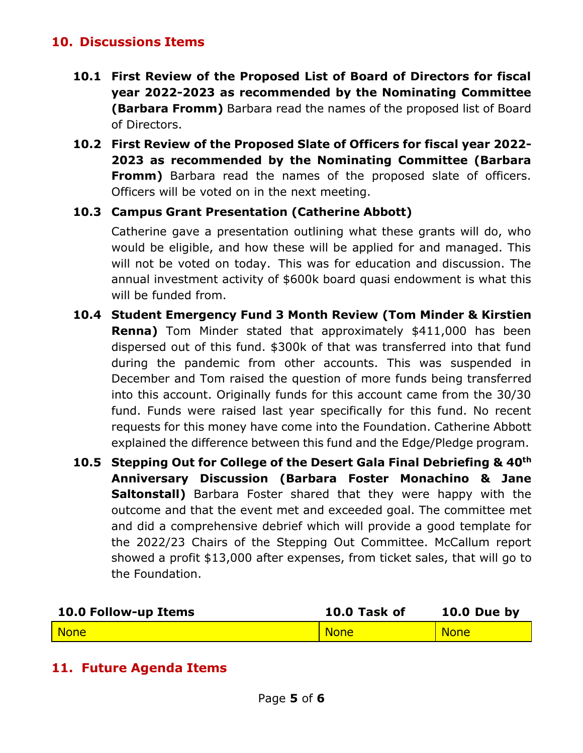#### **10. Discussions Items**

- **10.1 First Review of the Proposed List of Board of Directors for fiscal year 2022-2023 as recommended by the Nominating Committee (Barbara Fromm)** Barbara read the names of the proposed list of Board of Directors.
- **10.2 First Review of the Proposed Slate of Officers for fiscal year 2022- 2023 as recommended by the Nominating Committee (Barbara Fromm)** Barbara read the names of the proposed slate of officers. Officers will be voted on in the next meeting.

#### **10.3 Campus Grant Presentation (Catherine Abbott)**

Catherine gave a presentation outlining what these grants will do, who would be eligible, and how these will be applied for and managed. This will not be voted on today. This was for education and discussion. The annual investment activity of \$600k board quasi endowment is what this will be funded from.

- **10.4 Student Emergency Fund 3 Month Review (Tom Minder & Kirstien Renna)** Tom Minder stated that approximately \$411,000 has been dispersed out of this fund. \$300k of that was transferred into that fund during the pandemic from other accounts. This was suspended in December and Tom raised the question of more funds being transferred into this account. Originally funds for this account came from the 30/30 fund. Funds were raised last year specifically for this fund. No recent requests for this money have come into the Foundation. Catherine Abbott explained the difference between this fund and the Edge/Pledge program.
- **10.5 Stepping Out for College of the Desert Gala Final Debriefing & 40th Anniversary Discussion (Barbara Foster Monachino & Jane Saltonstall)** Barbara Foster shared that they were happy with the outcome and that the event met and exceeded goal. The committee met and did a comprehensive debrief which will provide a good template for the 2022/23 Chairs of the Stepping Out Committee. McCallum report showed a profit \$13,000 after expenses, from ticket sales, that will go to the Foundation.

| 10.0 Follow-up Items | 10.0 Task of | 10.0 Due by |
|----------------------|--------------|-------------|
| <b>None</b>          | <b>None</b>  | <b>None</b> |

#### **11. Future Agenda Items**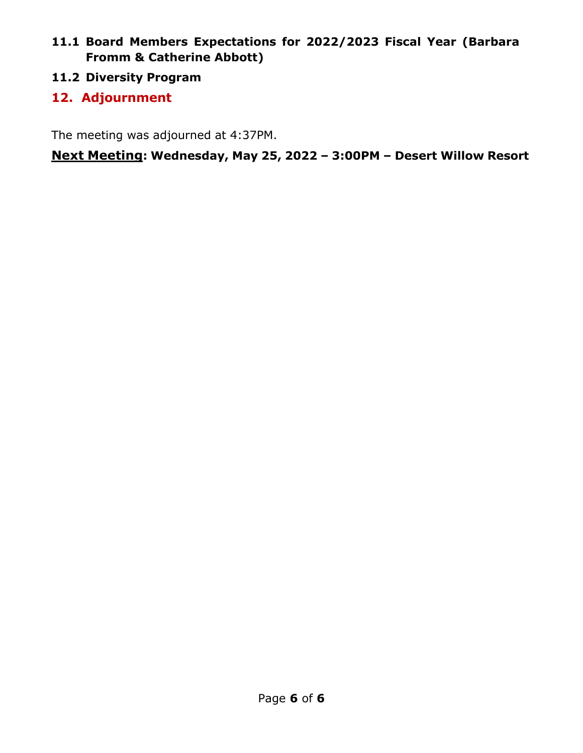#### **11.1 Board Members Expectations for 2022/2023 Fiscal Year (Barbara Fromm & Catherine Abbott)**

**11.2 Diversity Program**

#### **12. Adjournment**

The meeting was adjourned at 4:37PM.

**Next Meeting: Wednesday, May 25, 2022 – 3:00PM – Desert Willow Resort**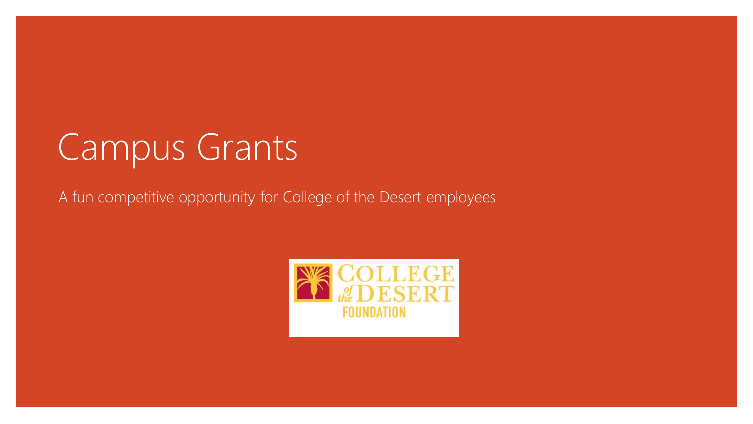## Campus Grants

A fun competitive opportunity for College of the Desert employees

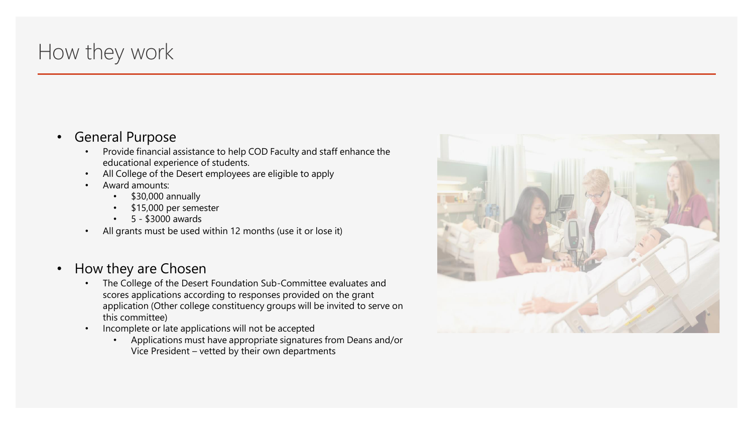## How they work

#### • General Purpose

- Provide financial assistance to help COD Faculty and staff enhance the educational experience of students.
- All College of the Desert employees are eligible to apply
- Award amounts:
	- \$30,000 annually
	- \$15,000 per semester
	- 5 \$3000 awards
- All grants must be used within 12 months (use it or lose it)

#### • How they are Chosen

- The College of the Desert Foundation Sub-Committee evaluates and scores applications according to responses provided on the grant application (Other college constituency groups will be invited to serve on this committee)
- Incomplete or late applications will not be accepted
	- Applications must have appropriate signatures from Deans and/or Vice President – vetted by their own departments

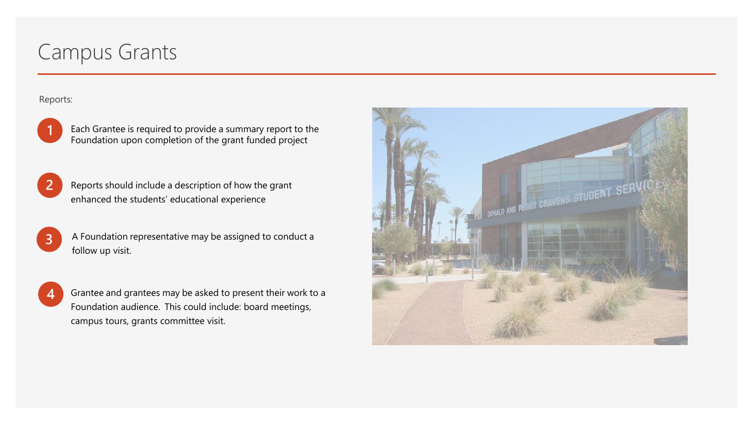## Campus Grants

#### Reports:



Each Grantee is required to provide a summary report to the Foundation upon completion of the grant funded project

Reports should include a description of how the grant enhanced the students' educational experience **2**

A Foundation representative may be assigned to conduct a follow up visit.

**4**

**3**

Grantee and grantees may be asked to present their work to a Foundation audience. This could include: board meetings, campus tours, grants committee visit.

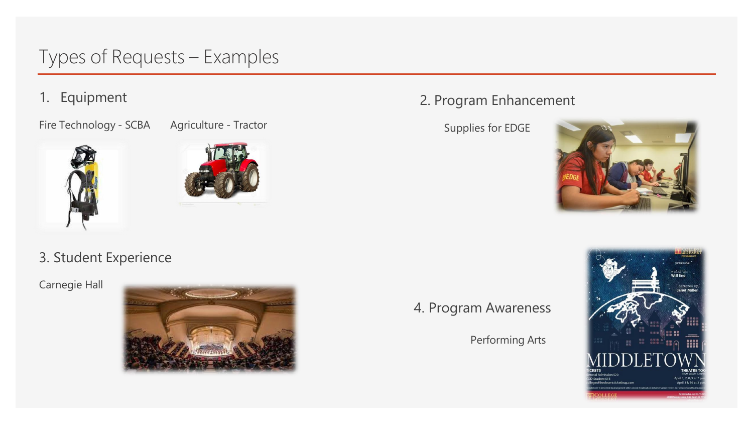## Types of Requests – Examples

1. Equipment

Fire Technology - SCBA Agriculture - Tractor





### 3. Student Experience

Carnegie Hall



#### 2. Program Enhancement

Supplies for EDGE



4. Program Awareness

Performing Arts

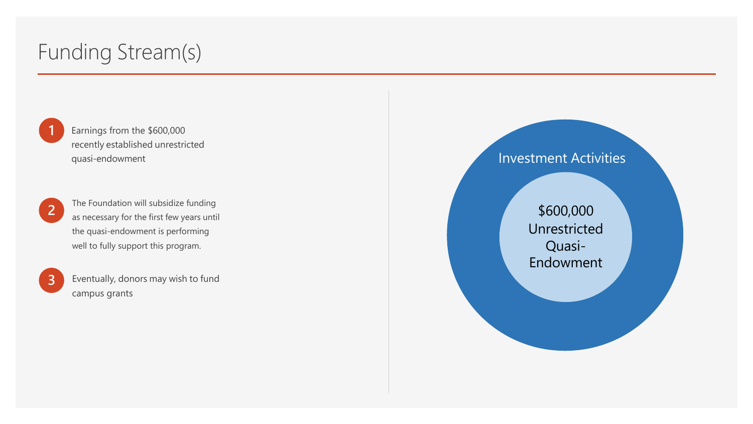## Funding Stream(s)

**1**

**2**

**3**

Earnings from the \$600,000 recently established unrestricted quasi-endowment

The Foundation will subsidize funding as necessary for the first few years until the quasi-endowment is performing well to fully support this program.

Eventually, donors may wish to fund campus grants

#### Investment Activities

\$600,000 Unrestricted Quasi-Endowment